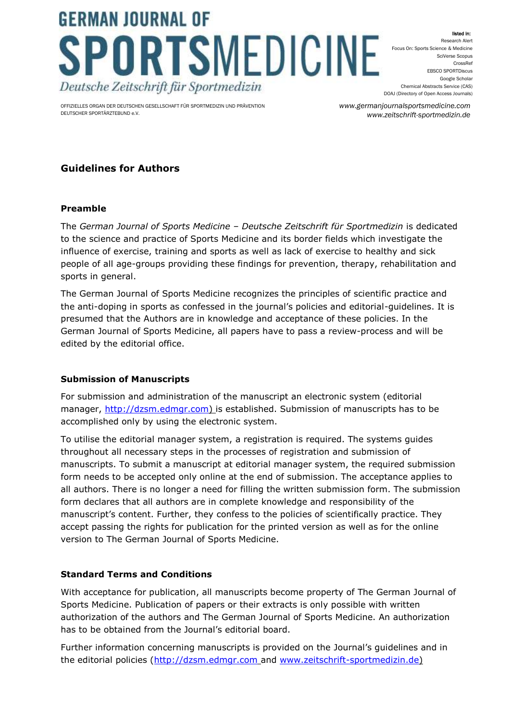# **GERMAN JOURNAL OF** SPORTSMEDICINE Deutsche Zeitschrift für Sportmedizin

OFFIZIELLES ORGAN DER DEUTSCHEN GESELLSCHAFT FÜR SPORTMEDIZIN UND PRÄVENTION DEUTSCHER SPORTÄRZTEBUND e.V.

ed in: Research Alert Focus On: Sports Science & Medicine SciVerse Scopus CrossRef EBSCO SPORTDiscus Google Scholar Chemical Abstracts Service (CAS) DOAJ (Directory of Open Access Journals)

*www.germanjournalsportsmedicine.com www.zeitschrift-sportmedizin.de*

## **Guidelines for Authors**

## **Preamble**

The *German Journal of Sports Medicine – Deutsche Zeitschrift für Sportmedizin* is dedicated to the science and practice of Sports Medicine and its border fields which investigate the influence of exercise, training and sports as well as lack of exercise to healthy and sick people of all age-groups providing these findings for prevention, therapy, rehabilitation and sports in general.

The German Journal of Sports Medicine recognizes the principles of scientific practice and the anti-doping in sports as confessed in the journal's policies and editorial-guidelines. It is presumed that the Authors are in knowledge and acceptance of these policies. In the German Journal of Sports Medicine, all papers have to pass a review-process and will be edited by the editorial office.

## **Submission of Manuscripts**

For submission and administration of the manuscript an electronic system (editorial manager, [http://dzsm.edmgr.com\)](http://dzsm.edmgr.com/) is established. Submission of manuscripts has to be accomplished only by using the electronic system.

To utilise the editorial manager system, a registration is required. The systems guides throughout all necessary steps in the processes of registration and submission of manuscripts. To submit a manuscript at editorial manager system, the required submission form needs to be accepted only online at the end of submission. The acceptance applies to all authors. There is no longer a need for filling the written submission form. The submission form declares that all authors are in complete knowledge and responsibility of the manuscript's content. Further, they confess to the policies of scientifically practice. They accept passing the rights for publication for the printed version as well as for the online version to The German Journal of Sports Medicine.

## **Standard Terms and Conditions**

With acceptance for publication, all manuscripts become property of The German Journal of Sports Medicine. Publication of papers or their extracts is only possible with written authorization of the authors and The German Journal of Sports Medicine. An authorization has to be obtained from the Journal's editorial board.

Further information concerning manuscripts is provided on the Journal's guidelines and in the editorial policies [\(http://dzsm.edmgr.com](http://dzsm.edmgr.com/) and [www.zeitschrift-sportmedizin.de\)](http://www.zeitschrift-sportmedizin.de/)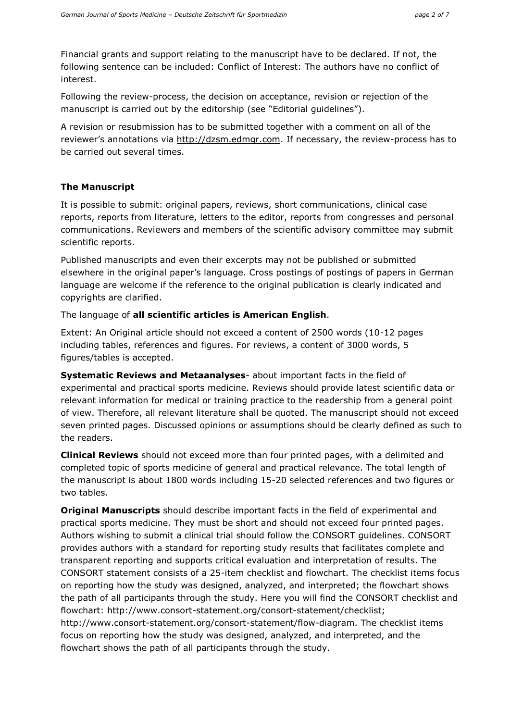Financial grants and support relating to the manuscript have to be declared. If not, the following sentence can be included: Conflict of Interest: The authors have no conflict of interest.

Following the review-process, the decision on acceptance, revision or rejection of the manuscript is carried out by the editorship (see "Editorial guidelines").

A revision or resubmission has to be submitted together with a comment on all of the reviewer's annotations via http://dzsm.edmgr.com. If necessary, the review-process has to be carried out several times.

#### **The Manuscript**

It is possible to submit: original papers, reviews, short communications, clinical case reports, reports from literature, letters to the editor, reports from congresses and personal communications. Reviewers and members of the scientific advisory committee may submit scientific reports.

Published manuscripts and even their excerpts may not be published or submitted elsewhere in the original paper's language. Cross postings of postings of papers in German language are welcome if the reference to the original publication is clearly indicated and copyrights are clarified.

The language of **all scientific articles is American English**.

Extent: An Original article should not exceed a content of 2500 words (10-12 pages including tables, references and figures. For reviews, a content of 3000 words, 5 figures/tables is accepted.

**Systematic Reviews and Metaanalyses**- about important facts in the field of experimental and practical sports medicine. Reviews should provide latest scientific data or relevant information for medical or training practice to the readership from a general point of view. Therefore, all relevant literature shall be quoted. The manuscript should not exceed seven printed pages. Discussed opinions or assumptions should be clearly defined as such to the readers.

**Clinical Reviews** should not exceed more than four printed pages, with a delimited and completed topic of sports medicine of general and practical relevance. The total length of the manuscript is about 1800 words including 15-20 selected references and two figures or two tables.

**Original Manuscripts** should describe important facts in the field of experimental and practical sports medicine. They must be short and should not exceed four printed pages. Authors wishing to submit a clinical trial should follow the CONSORT guidelines. CONSORT provides authors with a standard for reporting study results that facilitates complete and transparent reporting and supports critical evaluation and interpretation of results. The CONSORT statement consists of a 25-item checklist and flowchart. The checklist items focus on reporting how the study was designed, analyzed, and interpreted; the flowchart shows the path of all participants through the study. Here you will find the CONSORT checklist and flowchart: http://www.consort-statement.org/consort-statement/checklist; http://www.consort-statement.org/consort-statement/flow-diagram. The checklist items focus on reporting how the study was designed, analyzed, and interpreted, and the flowchart shows the path of all participants through the study.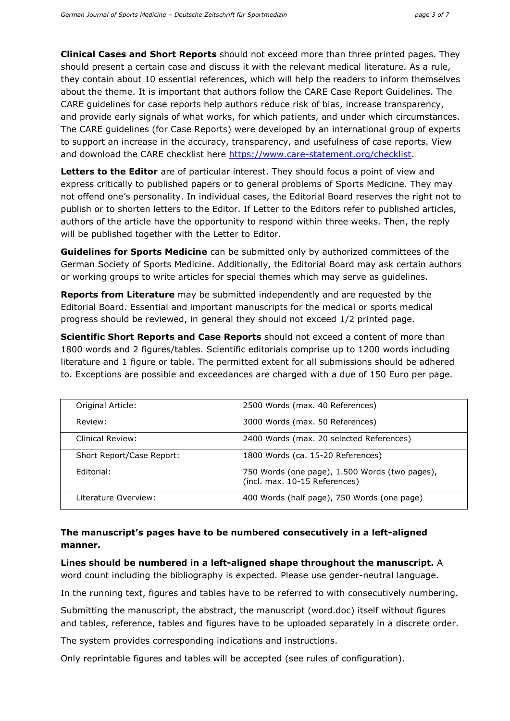**Clinical Cases and Short Reports** should not exceed more than three printed pages. They should present a certain case and discuss it with the relevant medical literature. As a rule, they contain about 10 essential references, which will help the readers to inform themselves about the theme. It is important that authors follow the CARE Case Report Guidelines. The CARE guidelines for case reports help authors reduce risk of bias, increase transparency, and provide early signals of what works, for which patients, and under which circumstances. The CARE guidelines (for Case Reports) were developed by an international group of experts to support an increase in the accuracy, transparency, and usefulness of case reports. View and download the CARE checklist here [https://www.care-statement.org/checklist.](https://www.care-statement.org/checklist)

**Letters to the Editor** are of particular interest. They should focus a point of view and express critically to published papers or to general problems of Sports Medicine. They may not offend one's personality. In individual cases, the Editorial Board reserves the right not to publish or to shorten letters to the Editor. If Letter to the Editors refer to published articles, authors of the article have the opportunity to respond within three weeks. Then, the reply will be published together with the Letter to Editor.

**Guidelines for Sports Medicine** can be submitted only by authorized committees of the German Society of Sports Medicine. Additionally, the Editorial Board may ask certain authors or working groups to write articles for special themes which may serve as guidelines.

**Reports from Literature** may be submitted independently and are requested by the Editorial Board. Essential and important manuscripts for the medical or sports medical progress should be reviewed, in general they should not exceed 1/2 printed page.

**Scientific Short Reports and Case Reports** should not exceed a content of more than 1800 words and 2 figures/tables. Scientific editorials comprise up to 1200 words including literature and 1 figure or table. The permitted extent for all submissions should be adhered to. Exceptions are possible and exceedances are charged with a due of 150 Euro per page.

| Original Article:         | 2500 Words (max. 40 References)                                                 |
|---------------------------|---------------------------------------------------------------------------------|
| Review:                   | 3000 Words (max. 50 References)                                                 |
| Clinical Review:          | 2400 Words (max. 20 selected References)                                        |
| Short Report/Case Report: | 1800 Words (ca. 15-20 References)                                               |
| Editorial:                | 750 Words (one page), 1.500 Words (two pages),<br>(incl. max. 10-15 References) |
| Literature Overview:      | 400 Words (half page), 750 Words (one page)                                     |

## **The manuscript's pages have to be numbered consecutively in a left-aligned manner.**

**Lines should be numbered in a left-aligned shape throughout the manuscript.** A word count including the bibliography is expected. Please use gender-neutral language.

In the running text, figures and tables have to be referred to with consecutively numbering.

Submitting the manuscript, the abstract, the manuscript (word.doc) itself without figures and tables, reference, tables and figures have to be uploaded separately in a discrete order.

The system provides corresponding indications and instructions.

Only reprintable figures and tables will be accepted (see rules of configuration).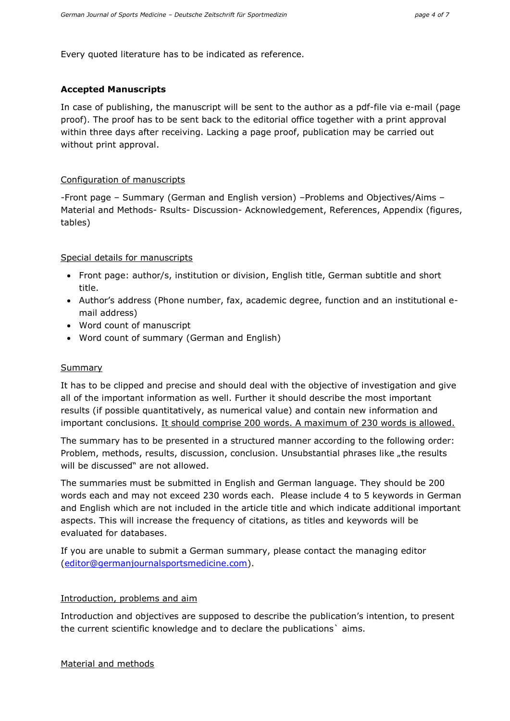Every quoted literature has to be indicated as reference.

### **Accepted Manuscripts**

In case of publishing, the manuscript will be sent to the author as a pdf-file via e-mail (page proof). The proof has to be sent back to the editorial office together with a print approval within three days after receiving. Lacking a page proof, publication may be carried out without print approval.

#### Configuration of manuscripts

-Front page – Summary (German and English version) –Problems and Objectives/Aims – Material and Methods- Rsults- Discussion- Acknowledgement, References, Appendix (figures, tables)

### Special details for manuscripts

- Front page: author/s, institution or division, English title, German subtitle and short title.
- Author's address (Phone number, fax, academic degree, function and an institutional email address)
- Word count of manuscript
- Word count of summary (German and English)

#### **Summary**

It has to be clipped and precise and should deal with the objective of investigation and give all of the important information as well. Further it should describe the most important results (if possible quantitatively, as numerical value) and contain new information and important conclusions. It should comprise 200 words. A maximum of 230 words is allowed.

The summary has to be presented in a structured manner according to the following order: Problem, methods, results, discussion, conclusion. Unsubstantial phrases like "the results will be discussed" are not allowed.

The summaries must be submitted in English and German language. They should be 200 words each and may not exceed 230 words each. Please include 4 to 5 keywords in German and English which are not included in the article title and which indicate additional important aspects. This will increase the frequency of citations, as titles and keywords will be evaluated for databases.

If you are unable to submit a German summary, please contact the managing editor [\(editor@germanjournalsportsmedicine.com\)](mailto:editor@germanjournalsportsmedicine.com).

#### Introduction, problems and aim

Introduction and objectives are supposed to describe the publication's intention, to present the current scientific knowledge and to declare the publications` aims.

Material and methods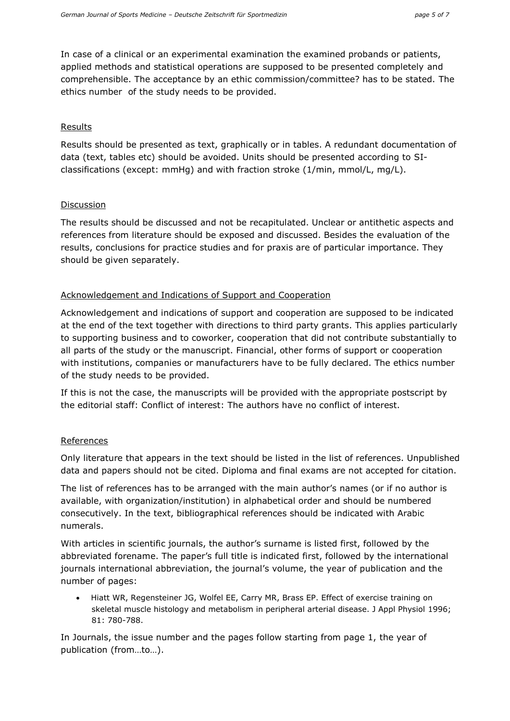In case of a clinical or an experimental examination the examined probands or patients, applied methods and statistical operations are supposed to be presented completely and comprehensible. The acceptance by an ethic commission/committee? has to be stated. The ethics number of the study needs to be provided.

#### Results

Results should be presented as text, graphically or in tables. A redundant documentation of data (text, tables etc) should be avoided. Units should be presented according to SIclassifications (except: mmHg) and with fraction stroke (1/min, mmol/L, mg/L).

### Discussion

The results should be discussed and not be recapitulated. Unclear or antithetic aspects and references from literature should be exposed and discussed. Besides the evaluation of the results, conclusions for practice studies and for praxis are of particular importance. They should be given separately.

## Acknowledgement and Indications of Support and Cooperation

Acknowledgement and indications of support and cooperation are supposed to be indicated at the end of the text together with directions to third party grants. This applies particularly to supporting business and to coworker, cooperation that did not contribute substantially to all parts of the study or the manuscript. Financial, other forms of support or cooperation with institutions, companies or manufacturers have to be fully declared. The ethics number of the study needs to be provided.

If this is not the case, the manuscripts will be provided with the appropriate postscript by the editorial staff: Conflict of interest: The authors have no conflict of interest.

## **References**

Only literature that appears in the text should be listed in the list of references. Unpublished data and papers should not be cited. Diploma and final exams are not accepted for citation.

The list of references has to be arranged with the main author's names (or if no author is available, with organization/institution) in alphabetical order and should be numbered consecutively. In the text, bibliographical references should be indicated with Arabic numerals.

With articles in scientific journals, the author's surname is listed first, followed by the abbreviated forename. The paper's full title is indicated first, followed by the international journals international abbreviation, the journal's volume, the year of publication and the number of pages:

 Hiatt WR, Regensteiner JG, Wolfel EE, Carry MR, Brass EP. Effect of exercise training on skeletal muscle histology and metabolism in peripheral arterial disease. J Appl Physiol 1996; 81: 780-788.

In Journals, the issue number and the pages follow starting from page 1, the year of publication (from…to…).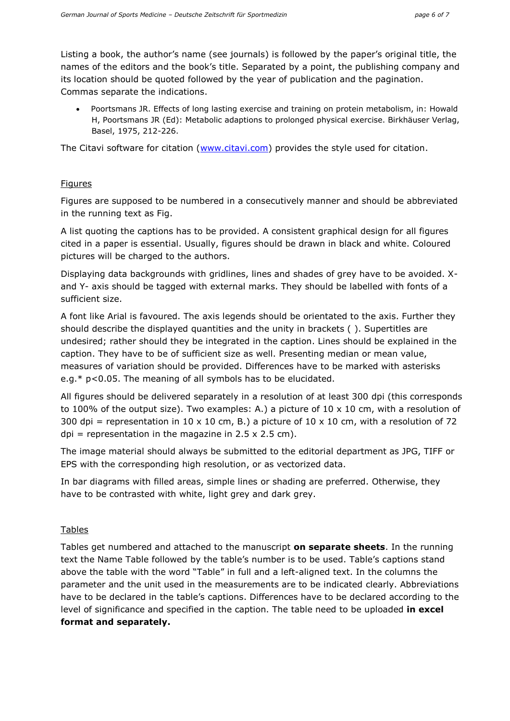Listing a book, the author's name (see journals) is followed by the paper's original title, the names of the editors and the book's title. Separated by a point, the publishing company and its location should be quoted followed by the year of publication and the pagination. Commas separate the indications.

 Poortsmans JR. Effects of long lasting exercise and training on protein metabolism, in: Howald H, Poortsmans JR (Ed): Metabolic adaptions to prolonged physical exercise. Birkhäuser Verlag, Basel, 1975, 212-226.

The Citavi software for citation [\(www.citavi.com\)](http://www.citavi.com/) provides the style used for citation.

### Figures

Figures are supposed to be numbered in a consecutively manner and should be abbreviated in the running text as Fig.

A list quoting the captions has to be provided. A consistent graphical design for all figures cited in a paper is essential. Usually, figures should be drawn in black and white. Coloured pictures will be charged to the authors.

Displaying data backgrounds with gridlines, lines and shades of grey have to be avoided. Xand Y- axis should be tagged with external marks. They should be labelled with fonts of a sufficient size.

A font like Arial is favoured. The axis legends should be orientated to the axis. Further they should describe the displayed quantities and the unity in brackets ( ). Supertitles are undesired; rather should they be integrated in the caption. Lines should be explained in the caption. They have to be of sufficient size as well. Presenting median or mean value, measures of variation should be provided. Differences have to be marked with asterisks e.g.\* p<0.05. The meaning of all symbols has to be elucidated.

All figures should be delivered separately in a resolution of at least 300 dpi (this corresponds to 100% of the output size). Two examples: A.) a picture of  $10 \times 10$  cm, with a resolution of 300 dpi = representation in 10 x 10 cm, B.) a picture of 10 x 10 cm, with a resolution of 72 dpi = representation in the magazine in  $2.5 \times 2.5$  cm).

The image material should always be submitted to the editorial department as JPG, TIFF or EPS with the corresponding high resolution, or as vectorized data.

In bar diagrams with filled areas, simple lines or shading are preferred. Otherwise, they have to be contrasted with white, light grey and dark grey.

## Tables

Tables get numbered and attached to the manuscript **on separate sheets**. In the running text the Name Table followed by the table's number is to be used. Table's captions stand above the table with the word "Table" in full and a left-aligned text. In the columns the parameter and the unit used in the measurements are to be indicated clearly. Abbreviations have to be declared in the table's captions. Differences have to be declared according to the level of significance and specified in the caption. The table need to be uploaded **in excel format and separately.**